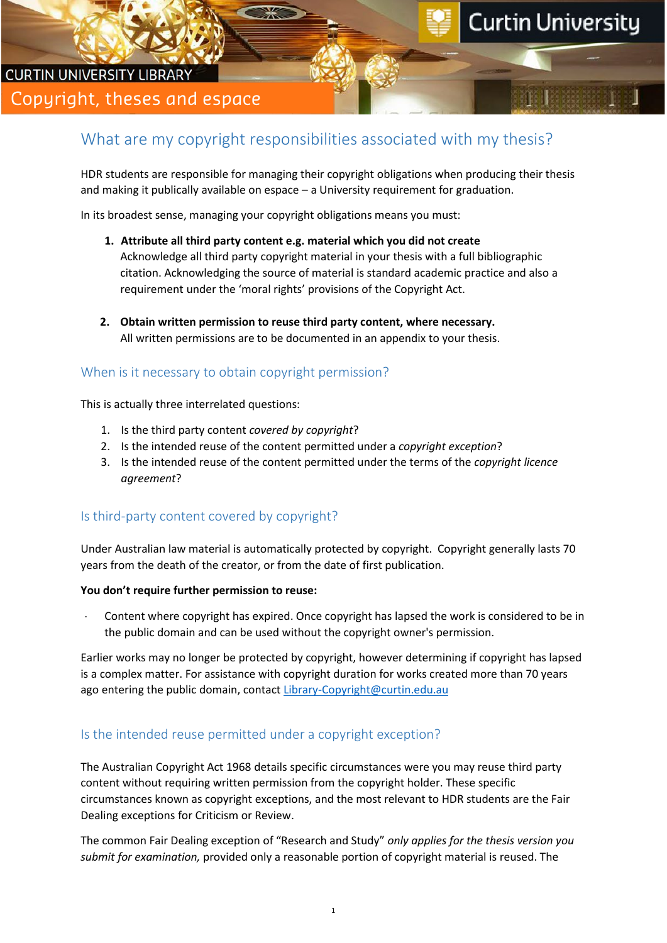# **CURTIN UNIVERSITY LIBRARY** Copyright, theses and espace

# What are my copyright responsibilities associated with my thesis?

HDR students are responsible for managing their copyright obligations when producing their thesis and making it publically available on espace – a University requirement for graduation.

In its broadest sense, managing your copyright obligations means you must:

- **1. Attribute all third party content e.g. material which you did not create** Acknowledge all third party copyright material in your thesis with a full bibliographic citation. Acknowledging the source of material is standard academic practice and also a requirement under the 'moral rights' provisions of the Copyright Act.
- **2. Obtain written permission to reuse third party content, where necessary.**  All written permissions are to be documented in an appendix to your thesis.

### When is it necessary to obtain copyright permission?

This is actually three interrelated questions:

- 1. Is the third party content *covered by copyright*?
- 2. Is the intended reuse of the content permitted under a *copyright exception*?
- 3. Is the intended reuse of the content permitted under the terms of the *copyright licence agreement*?

### Is third-party content covered by copyright?

Under Australian law material is automatically protected by copyright. Copyright generally lasts 70 years from the death of the creator, or from the date of first publication.

#### **You don't require further permission to reuse:**

Content where copyright has expired. Once copyright has lapsed the work is considered to be in the public domain and can be used without the copyright owner's permission.

Earlier works may no longer be protected by copyright, however determining if copyright has lapsed is a complex matter. For assistance with copyright duration for works created more than 70 years ago entering the public domain, contact [Library-Copyright@curtin.edu.au](mailto:Library-Copyright@curtin.edu.au)

### Is the intended reuse permitted under a copyright exception?

The Australian Copyright Act 1968 details specific circumstances were you may reuse third party content without requiring written permission from the copyright holder. These specific circumstances known as copyright exceptions, and the most relevant to HDR students are the Fair Dealing exceptions for Criticism or Review.

The common Fair Dealing exception of "Research and Study" *only applies for the thesis version you submit for examination,* provided only a reasonable portion of copyright material is reused. The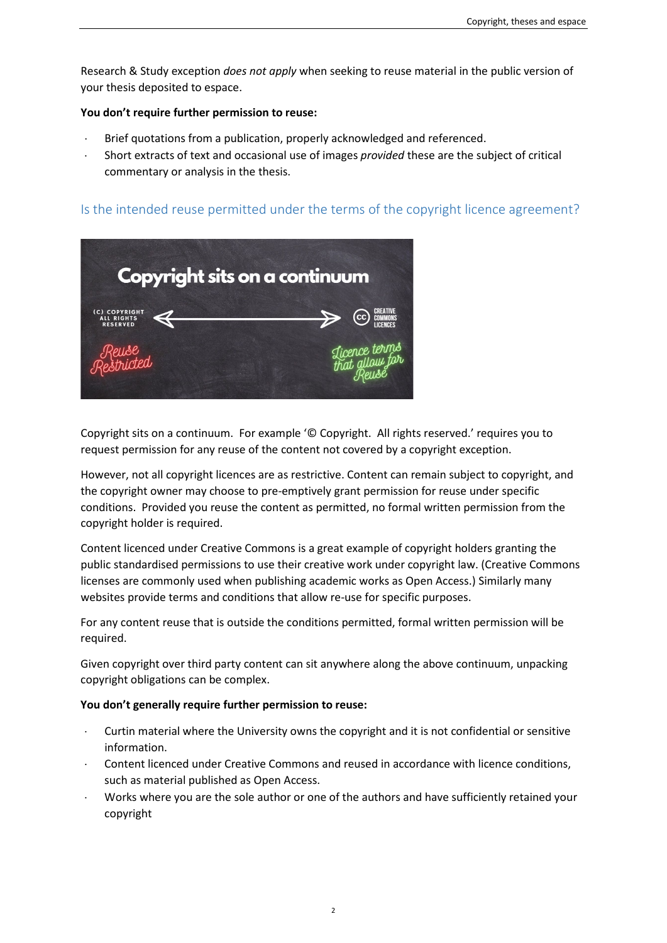Research & Study exception *does not apply* when seeking to reuse material in the public version of your thesis deposited to espace.

#### **You don't require further permission to reuse:**

- Brief quotations from a publication, properly acknowledged and referenced.
- ⋅ Short extracts of text and occasional use of images *provided* these are the subject of critical commentary or analysis in the thesis.

## Is the intended reuse permitted under the terms of the copyright licence agreement?



Copyright sits on a continuum. For example '© Copyright. All rights reserved.' requires you to request permission for any reuse of the content not covered by a copyright exception.

However, not all copyright licences are as restrictive. Content can remain subject to copyright, and the copyright owner may choose to pre-emptively grant permission for reuse under specific conditions. Provided you reuse the content as permitted, no formal written permission from the copyright holder is required.

Content licenced under Creative Commons is a great example of copyright holders granting the public standardised permissions to use their creative work under copyright law. (Creative Commons licenses are commonly used when publishing academic works as Open Access.) Similarly many websites provide terms and conditions that allow re-use for specific purposes.

For any content reuse that is outside the conditions permitted, formal written permission will be required.

Given copyright over third party content can sit anywhere along the above continuum, unpacking copyright obligations can be complex.

#### **You don't generally require further permission to reuse:**

- ⋅ Curtin material where the University owns the copyright and it is not confidential or sensitive information.
- Content licenced under Creative Commons and reused in accordance with licence conditions, such as material published as Open Access.
- Works where you are the sole author or one of the authors and have sufficiently retained your copyright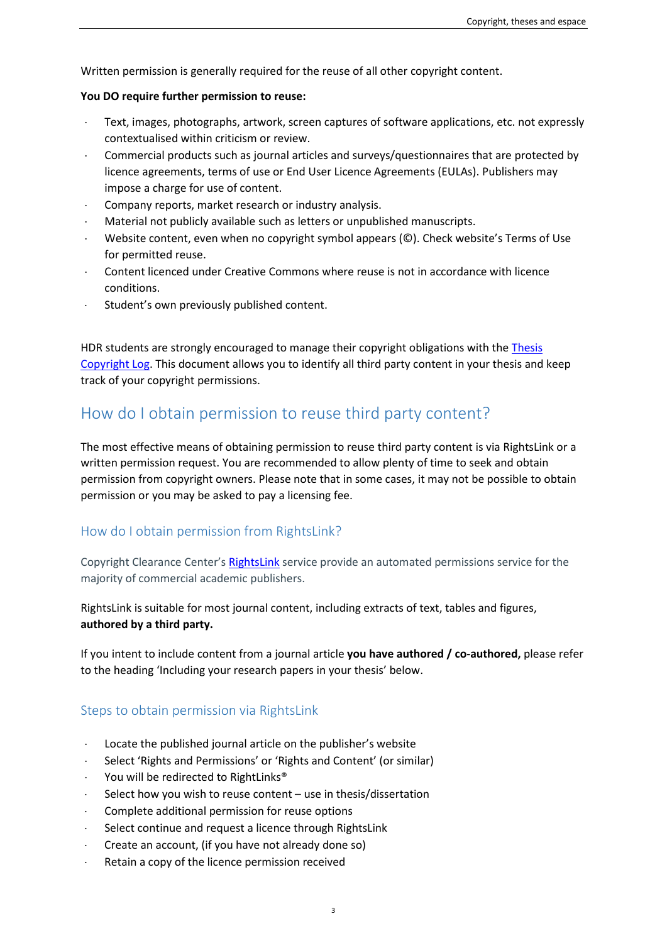Written permission is generally required for the reuse of all other copyright content.

#### **You DO require further permission to reuse:**

- Text, images, photographs, artwork, screen captures of software applications, etc. not expressly contextualised within criticism or review.
- ⋅ Commercial products such as journal articles and surveys/questionnaires that are protected by licence agreements, terms of use or End User Licence Agreements (EULAs). Publishers may impose a charge for use of content.
- Company reports, market research or industry analysis.
- ⋅ Material not publicly available such as letters or unpublished manuscripts.
- Website content, even when no copyright symbol appears (©). Check website's Terms of Use for permitted reuse.
- ⋅ Content licenced under Creative Commons where reuse is not in accordance with licence conditions.
- Student's own previously published content.

HDR students are strongly encouraged to manage their copyright obligations with th[e Thesis](https://copyright.curtin.edu.au/resources/research-study-resources/)  [Copyright Log.](https://copyright.curtin.edu.au/resources/research-study-resources/) This document allows you to identify all third party content in your thesis and keep track of your copyright permissions.

# How do I obtain permission to reuse third party content?

The most effective means of obtaining permission to reuse third party content is via RightsLink or a written permission request. You are recommended to allow plenty of time to seek and obtain permission from copyright owners. Please note that in some cases, it may not be possible to obtain permission or you may be asked to pay a licensing fee.

### How do I obtain permission from RightsLink?

Copyright Clearance Center's [RightsLink](https://www.copyright.com/publishers/rightslink-permissions/) service provide an automated permissions service for the majority of commercial academic publishers.

RightsLink is suitable for most journal content, including extracts of text, tables and figures, **authored by a third party.**

If you intent to include content from a journal article **you have authored / co-authored,** please refer to the heading 'Including your research papers in your thesis' below.

# Steps to obtain permission via RightsLink

- ⋅ Locate the published journal article on the publisher's website
- Select 'Rights and Permissions' or 'Rights and Content' (or similar)
- You will be redirected to RightLinks®
- ⋅ Select how you wish to reuse content use in thesis/dissertation
- Complete additional permission for reuse options
- Select continue and request a licence through RightsLink
- ⋅ Create an account, (if you have not already done so)
- Retain a copy of the licence permission received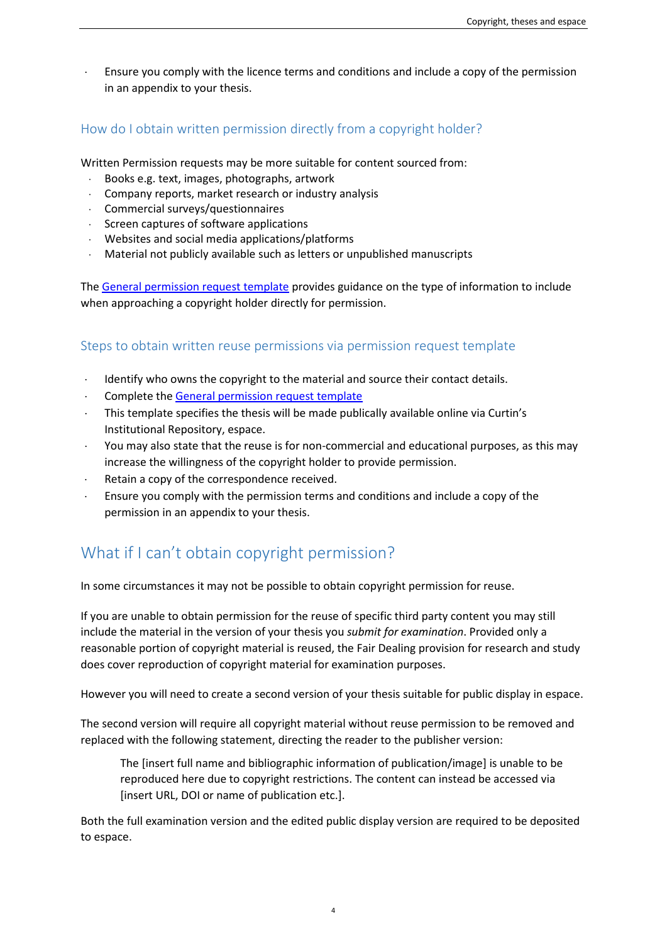Ensure you comply with the licence terms and conditions and include a copy of the permission in an appendix to your thesis.

# How do I obtain written permission directly from a copyright holder?

Written Permission requests may be more suitable for content sourced from:

- Books e.g. text, images, photographs, artwork
- ⋅ Company reports, market research or industry analysis
- ⋅ Commercial surveys/questionnaires
- ⋅ Screen captures of software applications
- ⋅ Websites and social media applications/platforms
- Material not publicly available such as letters or unpublished manuscripts

The [General permission request template](https://copyright.curtin.edu.au/resources/research-study-resources/) provides guidance on the type of information to include when approaching a copyright holder directly for permission.

#### Steps to obtain written reuse permissions via permission request template

- ⋅ Identify who owns the copyright to the material and source their contact details.
- Complete th[e General permission request template](https://copyright.curtin.edu.au/resources/research-study-resources/)
- This template specifies the thesis will be made publically available online via Curtin's Institutional Repository, espace.
- You may also state that the reuse is for non-commercial and educational purposes, as this may increase the willingness of the copyright holder to provide permission.
- Retain a copy of the correspondence received.
- Ensure you comply with the permission terms and conditions and include a copy of the permission in an appendix to your thesis.

# What if I can't obtain copyright permission?

In some circumstances it may not be possible to obtain copyright permission for reuse.

If you are unable to obtain permission for the reuse of specific third party content you may still include the material in the version of your thesis you *submit for examination*. Provided only a reasonable portion of copyright material is reused, the Fair Dealing provision for research and study does cover reproduction of copyright material for examination purposes.

However you will need to create a second version of your thesis suitable for public display in espace.

The second version will require all copyright material without reuse permission to be removed and replaced with the following statement, directing the reader to the publisher version:

The [insert full name and bibliographic information of publication/image] is unable to be reproduced here due to copyright restrictions. The content can instead be accessed via [insert URL, DOI or name of publication etc.].

Both the full examination version and the edited public display version are required to be deposited to espace.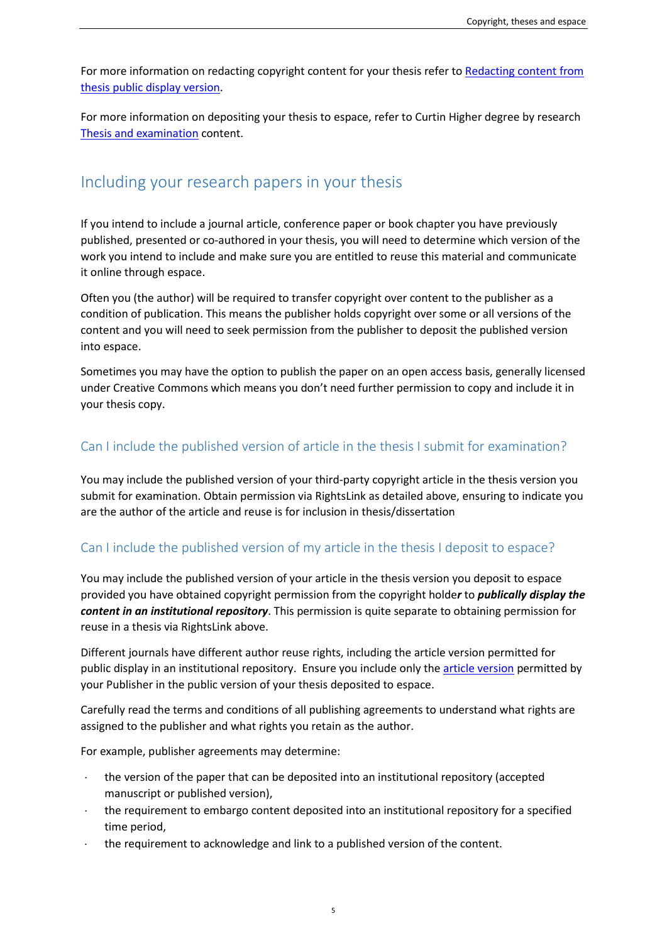For more information on redacting copyright content for your thesis refer to Redacting content from [thesis public display version.](https://libguides.library.curtin.edu.au/c.php?g=843592&p=6029426)

For more information on depositing your thesis to espace, refer to Curtin Higher degree by research [Thesis and examination](https://students.curtin.edu.au/essentials/higher-degree-by-research/prepare-thesis/) content.

# Including your research papers in your thesis

If you intend to include a journal article, conference paper or book chapter you have previously published, presented or co-authored in your thesis, you will need to determine which version of the work you intend to include and make sure you are entitled to reuse this material and communicate it online through espace.

Often you (the author) will be required to transfer copyright over content to the publisher as a condition of publication. This means the publisher holds copyright over some or all versions of the content and you will need to seek permission from the publisher to deposit the published version into espace.

Sometimes you may have the option to publish the paper on an open access basis, generally licensed under Creative Commons which means you don't need further permission to copy and include it in your thesis copy.

## Can I include the published version of article in the thesis I submit for examination?

You may include the published version of your third-party copyright article in the thesis version you submit for examination. Obtain permission via RightsLink as detailed above, ensuring to indicate you are the author of the article and reuse is for inclusion in thesis/dissertation

# Can I include the published version of my article in the thesis I deposit to espace?

You may include the published version of your article in the thesis version you deposit to espace provided you have obtained copyright permission from the copyright holde*r* to *publically display the content in an institutional repository*. This permission is quite separate to obtaining permission for reuse in a thesis via RightsLink above.

Different journals have different author reuse rights, including the article version permitted for public display in an institutional repository. Ensure you include only th[e article version](https://libguides.library.curtin.edu.au/c.php?g=843592&p=6151212#s-lg-box-wrapper-23155006) permitted by your Publisher in the public version of your thesis deposited to espace.

Carefully read the terms and conditions of all publishing agreements to understand what rights are assigned to the publisher and what rights you retain as the author.

For example, publisher agreements may determine:

- the version of the paper that can be deposited into an institutional repository (accepted manuscript or published version),
- the requirement to embargo content deposited into an institutional repository for a specified time period,
- the requirement to acknowledge and link to a published version of the content.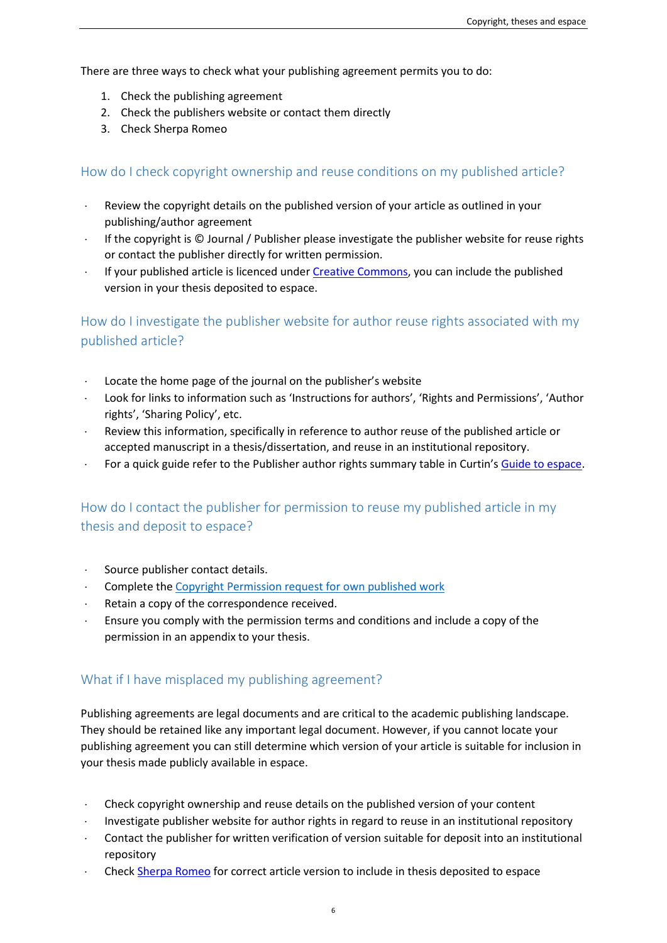There are three ways to check what your publishing agreement permits you to do:

- 1. Check the publishing agreement
- 2. Check the publishers website or contact them directly
- 3. Check Sherpa Romeo

## How do I check copyright ownership and reuse conditions on my published article?

- ⋅ Review the copyright details on the published version of your article as outlined in your publishing/author agreement
- If the copyright is © Journal / Publisher please investigate the publisher website for reuse rights or contact the publisher directly for written permission.
- ⋅ If your published article is licenced under [Creative Commons,](https://smartcopying.edu.au/quick-guide-to-creative-commons/) you can include the published version in your thesis deposited to espace.

How do I investigate the publisher website for author reuse rights associated with my published article?

- Locate the home page of the journal on the publisher's website
- ⋅ Look for links to information such as 'Instructions for authors', 'Rights and Permissions', 'Author rights', 'Sharing Policy', etc.
- Review this information, specifically in reference to author reuse of the published article or accepted manuscript in a thesis/dissertation, and reuse in an institutional repository.
- For a quick guide refer to the Publisher author rights summary table in Curtin'[s Guide to espace.](https://libguides.library.curtin.edu.au/c.php?g=843592&p=6029426)

# How do I contact the publisher for permission to reuse my published article in my thesis and deposit to espace?

- Source publisher contact details.
- ⋅ Complete th[e Copyright Permission request for own published work](https://copyright.curtin.edu.au/resources/research-study-resources/)
- Retain a copy of the correspondence received.
- ⋅ Ensure you comply with the permission terms and conditions and include a copy of the permission in an appendix to your thesis.

### What if I have misplaced my publishing agreement?

Publishing agreements are legal documents and are critical to the academic publishing landscape. They should be retained like any important legal document. However, if you cannot locate your publishing agreement you can still determine which version of your article is suitable for inclusion in your thesis made publicly available in espace.

- Check copyright ownership and reuse details on the published version of your content
- Investigate publisher website for author rights in regard to reuse in an institutional repository
- Contact the publisher for written verification of version suitable for deposit into an institutional repository
- Chec[k Sherpa Romeo](https://v2.sherpa.ac.uk/romeo/) for correct article version to include in thesis deposited to espace